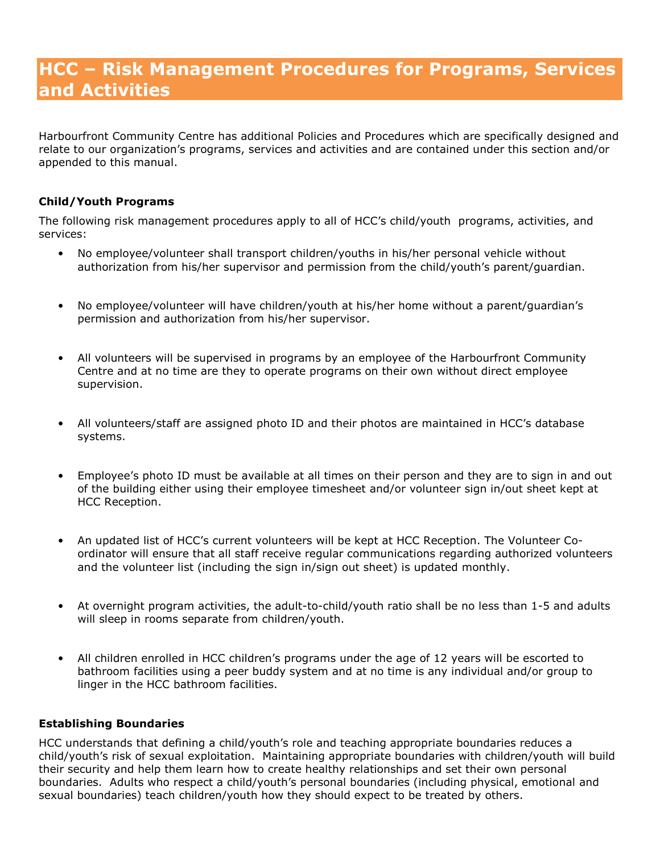# HCC – Risk Management Procedures for Programs, Services and Activities

Harbourfront Community Centre has additional Policies and Procedures which are specifically designed and relate to our organization's programs, services and activities and are contained under this section and/or appended to this manual.

# Child/Youth Programs

The following risk management procedures apply to all of HCC's child/youth programs, activities, and services:

- No employee/volunteer shall transport children/youths in his/her personal vehicle without authorization from his/her supervisor and permission from the child/youth's parent/guardian.
- No employee/volunteer will have children/youth at his/her home without a parent/guardian's permission and authorization from his/her supervisor.
- All volunteers will be supervised in programs by an employee of the Harbourfront Community Centre and at no time are they to operate programs on their own without direct employee supervision.
- All volunteers/staff are assigned photo ID and their photos are maintained in HCC's database systems.
- Employee's photo ID must be available at all times on their person and they are to sign in and out of the building either using their employee timesheet and/or volunteer sign in/out sheet kept at HCC Reception.
- An updated list of HCC's current volunteers will be kept at HCC Reception. The Volunteer Coordinator will ensure that all staff receive regular communications regarding authorized volunteers and the volunteer list (including the sign in/sign out sheet) is updated monthly.
- At overnight program activities, the adult-to-child/youth ratio shall be no less than 1-5 and adults will sleep in rooms separate from children/youth.
- All children enrolled in HCC children's programs under the age of 12 years will be escorted to bathroom facilities using a peer buddy system and at no time is any individual and/or group to linger in the HCC bathroom facilities.

## Establishing Boundaries

HCC understands that defining a child/youth's role and teaching appropriate boundaries reduces a child/youth's risk of sexual exploitation. Maintaining appropriate boundaries with children/youth will build their security and help them learn how to create healthy relationships and set their own personal boundaries. Adults who respect a child/youth's personal boundaries (including physical, emotional and sexual boundaries) teach children/youth how they should expect to be treated by others.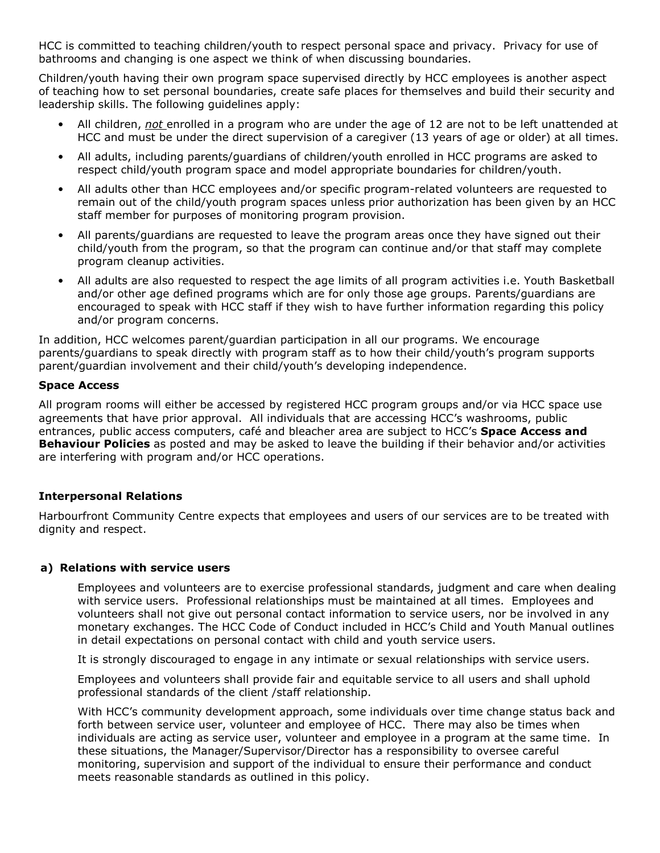HCC is committed to teaching children/youth to respect personal space and privacy. Privacy for use of bathrooms and changing is one aspect we think of when discussing boundaries.

Children/youth having their own program space supervised directly by HCC employees is another aspect of teaching how to set personal boundaries, create safe places for themselves and build their security and leadership skills. The following guidelines apply:

- All children, not enrolled in a program who are under the age of 12 are not to be left unattended at HCC and must be under the direct supervision of a caregiver (13 years of age or older) at all times.
- All adults, including parents/guardians of children/youth enrolled in HCC programs are asked to respect child/youth program space and model appropriate boundaries for children/youth.
- All adults other than HCC employees and/or specific program-related volunteers are requested to remain out of the child/youth program spaces unless prior authorization has been given by an HCC staff member for purposes of monitoring program provision.
- All parents/guardians are requested to leave the program areas once they have signed out their child/youth from the program, so that the program can continue and/or that staff may complete program cleanup activities.
- All adults are also requested to respect the age limits of all program activities i.e. Youth Basketball and/or other age defined programs which are for only those age groups. Parents/guardians are encouraged to speak with HCC staff if they wish to have further information regarding this policy and/or program concerns.

In addition, HCC welcomes parent/guardian participation in all our programs. We encourage parents/guardians to speak directly with program staff as to how their child/youth's program supports parent/guardian involvement and their child/youth's developing independence.

# Space Access

All program rooms will either be accessed by registered HCC program groups and/or via HCC space use agreements that have prior approval. All individuals that are accessing HCC's washrooms, public entrances, public access computers, café and bleacher area are subject to HCC's Space Access and Behaviour Policies as posted and may be asked to leave the building if their behavior and/or activities are interfering with program and/or HCC operations.

# Interpersonal Relations

Harbourfront Community Centre expects that employees and users of our services are to be treated with dignity and respect.

## a) Relations with service users

Employees and volunteers are to exercise professional standards, judgment and care when dealing with service users. Professional relationships must be maintained at all times. Employees and volunteers shall not give out personal contact information to service users, nor be involved in any monetary exchanges. The HCC Code of Conduct included in HCC's Child and Youth Manual outlines in detail expectations on personal contact with child and youth service users.

It is strongly discouraged to engage in any intimate or sexual relationships with service users.

Employees and volunteers shall provide fair and equitable service to all users and shall uphold professional standards of the client /staff relationship.

With HCC's community development approach, some individuals over time change status back and forth between service user, volunteer and employee of HCC. There may also be times when individuals are acting as service user, volunteer and employee in a program at the same time. In these situations, the Manager/Supervisor/Director has a responsibility to oversee careful monitoring, supervision and support of the individual to ensure their performance and conduct meets reasonable standards as outlined in this policy.